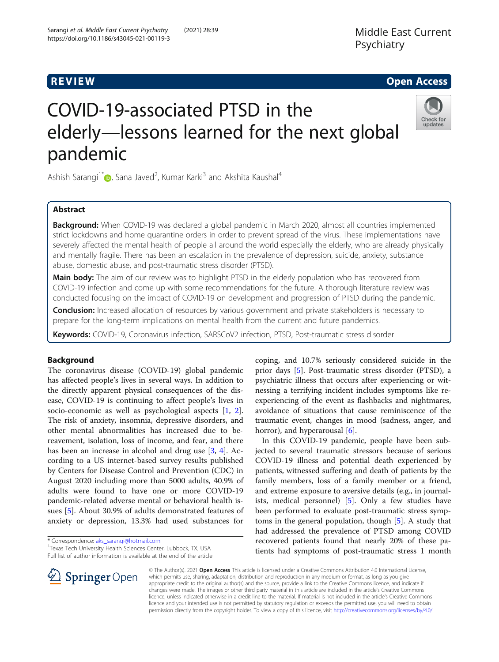# Middle East Current Psychiatry

# **REVIEW CONSTRUCTION CONSTRUCTION CONSTRUCTS**

# COVID-19-associated PTSD in the elderly—lessons learned for the next global pandemic



Ashish Sarangi<sup>1[\\*](http://orcid.org/0000-0003-3176-4006)</sup> D, Sana Javed<sup>2</sup>, Kumar Karki<sup>3</sup> and Akshita Kaushal<sup>4</sup>

# Abstract

Background: When COVID-19 was declared a global pandemic in March 2020, almost all countries implemented strict lockdowns and home quarantine orders in order to prevent spread of the virus. These implementations have severely affected the mental health of people all around the world especially the elderly, who are already physically and mentally fragile. There has been an escalation in the prevalence of depression, suicide, anxiety, substance abuse, domestic abuse, and post-traumatic stress disorder (PTSD).

Main body: The aim of our review was to highlight PTSD in the elderly population who has recovered from COVID-19 infection and come up with some recommendations for the future. A thorough literature review was conducted focusing on the impact of COVID-19 on development and progression of PTSD during the pandemic.

Conclusion: Increased allocation of resources by various government and private stakeholders is necessary to prepare for the long-term implications on mental health from the current and future pandemics.

Keywords: COVID-19, Coronavirus infection, SARSCoV2 infection, PTSD, Post-traumatic stress disorder

# Background

The coronavirus disease (COVID-19) global pandemic has affected people's lives in several ways. In addition to the directly apparent physical consequences of the disease, COVID-19 is continuing to affect people's lives in socio-economic as well as psychological aspects [[1](#page-5-0), [2](#page-5-0)]. The risk of anxiety, insomnia, depressive disorders, and other mental abnormalities has increased due to bereavement, isolation, loss of income, and fear, and there has been an increase in alcohol and drug use [\[3](#page-5-0), [4\]](#page-5-0). According to a US internet-based survey results published by Centers for Disease Control and Prevention (CDC) in August 2020 including more than 5000 adults, 40.9% of adults were found to have one or more COVID-19 pandemic-related adverse mental or behavioral health issues [\[5](#page-5-0)]. About 30.9% of adults demonstrated features of anxiety or depression, 13.3% had used substances for

\* Correspondence: [aks\\_sarangi@hotmail.com](mailto:aks_sarangi@hotmail.com) <sup>1</sup>

Texas Tech University Health Sciences Center, Lubbock, TX, USA Full list of author information is available at the end of the article coping, and 10.7% seriously considered suicide in the prior days [\[5](#page-5-0)]. Post-traumatic stress disorder (PTSD), a psychiatric illness that occurs after experiencing or witnessing a terrifying incident includes symptoms like reexperiencing of the event as flashbacks and nightmares, avoidance of situations that cause reminiscence of the traumatic event, changes in mood (sadness, anger, and horror), and hyperarousal [[6\]](#page-5-0).

In this COVID-19 pandemic, people have been subjected to several traumatic stressors because of serious COVID-19 illness and potential death experienced by patients, witnessed suffering and death of patients by the family members, loss of a family member or a friend, and extreme exposure to aversive details (e.g., in journalists, medical personnel) [[5\]](#page-5-0). Only a few studies have been performed to evaluate post-traumatic stress symptoms in the general population, though [[5](#page-5-0)]. A study that had addressed the prevalence of PTSD among COVID recovered patients found that nearly 20% of these patients had symptoms of post-traumatic stress 1 month



© The Author(s). 2021 Open Access This article is licensed under a Creative Commons Attribution 4.0 International License, which permits use, sharing, adaptation, distribution and reproduction in any medium or format, as long as you give appropriate credit to the original author(s) and the source, provide a link to the Creative Commons licence, and indicate if changes were made. The images or other third party material in this article are included in the article's Creative Commons licence, unless indicated otherwise in a credit line to the material. If material is not included in the article's Creative Commons licence and your intended use is not permitted by statutory regulation or exceeds the permitted use, you will need to obtain permission directly from the copyright holder. To view a copy of this licence, visit <http://creativecommons.org/licenses/by/4.0/>.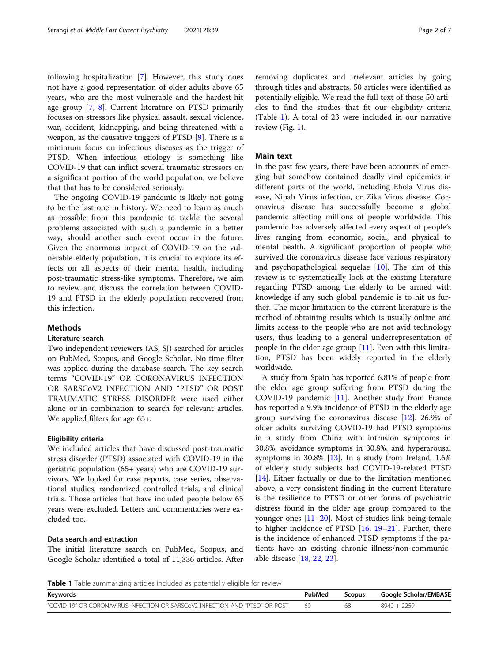following hospitalization [[7\]](#page-5-0). However, this study does not have a good representation of older adults above 65 years, who are the most vulnerable and the hardest-hit age group [[7,](#page-5-0) [8](#page-5-0)]. Current literature on PTSD primarily focuses on stressors like physical assault, sexual violence, war, accident, kidnapping, and being threatened with a weapon, as the causative triggers of PTSD [[9\]](#page-5-0). There is a minimum focus on infectious diseases as the trigger of PTSD. When infectious etiology is something like COVID-19 that can inflict several traumatic stressors on a significant portion of the world population, we believe that that has to be considered seriously.

The ongoing COVID-19 pandemic is likely not going to be the last one in history. We need to learn as much as possible from this pandemic to tackle the several problems associated with such a pandemic in a better way, should another such event occur in the future. Given the enormous impact of COVID-19 on the vulnerable elderly population, it is crucial to explore its effects on all aspects of their mental health, including post-traumatic stress-like symptoms. Therefore, we aim to review and discuss the correlation between COVID-19 and PTSD in the elderly population recovered from this infection.

# **Methods**

# Literature search

Two independent reviewers (AS, SJ) searched for articles on PubMed, Scopus, and Google Scholar. No time filter was applied during the database search. The key search terms "COVID-19" OR CORONAVIRUS INFECTION OR SARSCoV2 INFECTION AND "PTSD" OR POST TRAUMATIC STRESS DISORDER were used either alone or in combination to search for relevant articles. We applied filters for age 65+.

## Eligibility criteria

We included articles that have discussed post-traumatic stress disorder (PTSD) associated with COVID-19 in the geriatric population (65+ years) who are COVID-19 survivors. We looked for case reports, case series, observational studies, randomized controlled trials, and clinical trials. Those articles that have included people below 65 years were excluded. Letters and commentaries were excluded too.

# Data search and extraction

The initial literature search on PubMed, Scopus, and Google Scholar identified a total of 11,336 articles. After removing duplicates and irrelevant articles by going through titles and abstracts, 50 articles were identified as potentially eligible. We read the full text of those 50 articles to find the studies that fit our eligibility criteria (Table 1). A total of 23 were included in our narrative review (Fig. [1\)](#page-2-0).

# Main text

In the past few years, there have been accounts of emerging but somehow contained deadly viral epidemics in different parts of the world, including Ebola Virus disease, Nipah Virus infection, or Zika Virus disease. Coronavirus disease has successfully become a global pandemic affecting millions of people worldwide. This pandemic has adversely affected every aspect of people's lives ranging from economic, social, and physical to mental health. A significant proportion of people who survived the coronavirus disease face various respiratory and psychopathological sequelae  $[10]$  $[10]$ . The aim of this review is to systematically look at the existing literature regarding PTSD among the elderly to be armed with knowledge if any such global pandemic is to hit us further. The major limitation to the current literature is the method of obtaining results which is usually online and limits access to the people who are not avid technology users, thus leading to a general underrepresentation of people in the elder age group  $[11]$  $[11]$ . Even with this limitation, PTSD has been widely reported in the elderly worldwide.

A study from Spain has reported 6.81% of people from the elder age group suffering from PTSD during the COVID-19 pandemic [[11\]](#page-5-0). Another study from France has reported a 9.9% incidence of PTSD in the elderly age group surviving the coronavirus disease  $[12]$  $[12]$ . 26.9% of older adults surviving COVID-19 had PTSD symptoms in a study from China with intrusion symptoms in 30.8%, avoidance symptoms in 30.8%, and hyperarousal symptoms in  $30.8\%$  [[13\]](#page-5-0). In a study from Ireland, 1.6% of elderly study subjects had COVID-19-related PTSD [[14\]](#page-5-0). Either factually or due to the limitation mentioned above, a very consistent finding in the current literature is the resilience to PTSD or other forms of psychiatric distress found in the older age group compared to the younger ones [\[11](#page-5-0)–[20\]](#page-6-0). Most of studies link being female to higher incidence of PTSD [\[16,](#page-5-0) [19](#page-6-0)–[21](#page-6-0)]. Further, there is the incidence of enhanced PTSD symptoms if the patients have an existing chronic illness/non-communicable disease [[18,](#page-6-0) [22](#page-6-0), [23](#page-6-0)].

Table 1 Table summarizing articles included as potentially eligible for review

| Keywords                                                                     | PubMed | <b>Scopus</b> | Google Scholar/EMBASE |
|------------------------------------------------------------------------------|--------|---------------|-----------------------|
| "COVID-19" OR CORONAVIRUS INFECTION OR SARSC0V2 INFECTION AND "PTSD" OR POST | 69     | 68            | $9940 + 2259$         |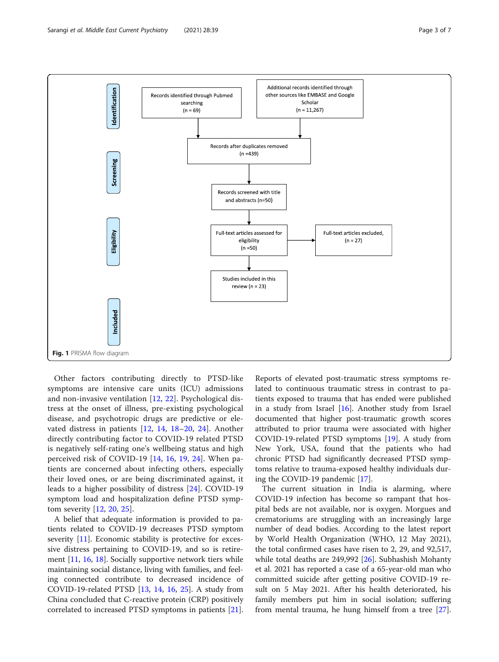<span id="page-2-0"></span>

Other factors contributing directly to PTSD-like symptoms are intensive care units (ICU) admissions and non-invasive ventilation [[12,](#page-5-0) [22](#page-6-0)]. Psychological distress at the onset of illness, pre-existing psychological disease, and psychotropic drugs are predictive or elevated distress in patients [[12,](#page-5-0) [14](#page-5-0), [18](#page-6-0)–[20,](#page-6-0) [24](#page-6-0)]. Another directly contributing factor to COVID-19 related PTSD is negatively self-rating one's wellbeing status and high perceived risk of COVID-19 [\[14](#page-5-0), [16](#page-5-0), [19,](#page-6-0) [24](#page-6-0)]. When patients are concerned about infecting others, especially their loved ones, or are being discriminated against, it leads to a higher possibility of distress [[24](#page-6-0)]. COVID-19 symptom load and hospitalization define PTSD symptom severity [\[12](#page-5-0), [20](#page-6-0), [25\]](#page-6-0).

A belief that adequate information is provided to patients related to COVID-19 decreases PTSD symptom severity [[11\]](#page-5-0). Economic stability is protective for excessive distress pertaining to COVID-19, and so is retirement [\[11,](#page-5-0) [16,](#page-5-0) [18\]](#page-6-0). Socially supportive network tiers while maintaining social distance, living with families, and feeling connected contribute to decreased incidence of COVID-19-related PTSD [[13,](#page-5-0) [14,](#page-5-0) [16](#page-5-0), [25](#page-6-0)]. A study from China concluded that C-reactive protein (CRP) positively correlated to increased PTSD symptoms in patients [\[21](#page-6-0)].

Reports of elevated post-traumatic stress symptoms related to continuous traumatic stress in contrast to patients exposed to trauma that has ended were published in a study from Israel [\[16\]](#page-5-0). Another study from Israel documented that higher post-traumatic growth scores attributed to prior trauma were associated with higher COVID-19-related PTSD symptoms [[19](#page-6-0)]. A study from New York, USA, found that the patients who had chronic PTSD had significantly decreased PTSD symptoms relative to trauma-exposed healthy individuals during the COVID-19 pandemic [[17\]](#page-5-0).

The current situation in India is alarming, where COVID-19 infection has become so rampant that hospital beds are not available, nor is oxygen. Morgues and crematoriums are struggling with an increasingly large number of dead bodies. According to the latest report by World Health Organization (WHO, 12 May 2021), the total confirmed cases have risen to 2, 29, and 92,517, while total deaths are 249,992 [\[26](#page-6-0)]. Subhashish Mohanty et al. 2021 has reported a case of a 65-year-old man who committed suicide after getting positive COVID-19 result on 5 May 2021. After his health deteriorated, his family members put him in social isolation; suffering from mental trauma, he hung himself from a tree [\[27](#page-6-0)].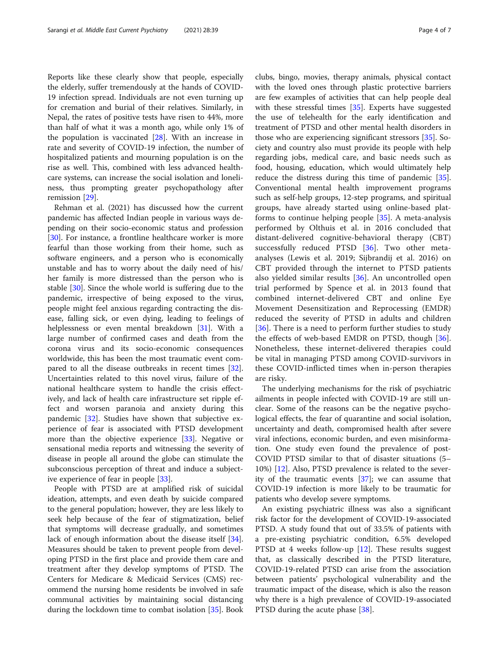Reports like these clearly show that people, especially the elderly, suffer tremendously at the hands of COVID-19 infection spread. Individuals are not even turning up for cremation and burial of their relatives. Similarly, in Nepal, the rates of positive tests have risen to 44%, more than half of what it was a month ago, while only 1% of the population is vaccinated [[28\]](#page-6-0). With an increase in rate and severity of COVID-19 infection, the number of hospitalized patients and mourning population is on the rise as well. This, combined with less advanced healthcare systems, can increase the social isolation and loneliness, thus prompting greater psychopathology after remission [\[29](#page-6-0)].

Rehman et al. (2021) has discussed how the current pandemic has affected Indian people in various ways depending on their socio-economic status and profession [[30\]](#page-6-0). For instance, a frontline healthcare worker is more fearful than those working from their home, such as software engineers, and a person who is economically unstable and has to worry about the daily need of his/ her family is more distressed than the person who is stable [\[30](#page-6-0)]. Since the whole world is suffering due to the pandemic, irrespective of being exposed to the virus, people might feel anxious regarding contracting the disease, falling sick, or even dying, leading to feelings of helplessness or even mental breakdown [[31](#page-6-0)]. With a large number of confirmed cases and death from the corona virus and its socio-economic consequences worldwide, this has been the most traumatic event compared to all the disease outbreaks in recent times [\[32](#page-6-0)]. Uncertainties related to this novel virus, failure of the national healthcare system to handle the crisis effectively, and lack of health care infrastructure set ripple effect and worsen paranoia and anxiety during this pandemic [\[32](#page-6-0)]. Studies have shown that subjective experience of fear is associated with PTSD development more than the objective experience [[33\]](#page-6-0). Negative or sensational media reports and witnessing the severity of disease in people all around the globe can stimulate the subconscious perception of threat and induce a subjective experience of fear in people [[33\]](#page-6-0).

People with PTSD are at amplified risk of suicidal ideation, attempts, and even death by suicide compared to the general population; however, they are less likely to seek help because of the fear of stigmatization, belief that symptoms will decrease gradually, and sometimes lack of enough information about the disease itself [\[34](#page-6-0)]. Measures should be taken to prevent people from developing PTSD in the first place and provide them care and treatment after they develop symptoms of PTSD. The Centers for Medicare & Medicaid Services (CMS) recommend the nursing home residents be involved in safe communal activities by maintaining social distancing during the lockdown time to combat isolation [\[35](#page-6-0)]. Book

clubs, bingo, movies, therapy animals, physical contact with the loved ones through plastic protective barriers are few examples of activities that can help people deal with these stressful times [[35\]](#page-6-0). Experts have suggested the use of telehealth for the early identification and treatment of PTSD and other mental health disorders in those who are experiencing significant stressors [[35\]](#page-6-0). Society and country also must provide its people with help regarding jobs, medical care, and basic needs such as food, housing, education, which would ultimately help reduce the distress during this time of pandemic [\[35](#page-6-0)]. Conventional mental health improvement programs such as self-help groups, 12-step programs, and spiritual groups, have already started using online-based platforms to continue helping people [[35\]](#page-6-0). A meta-analysis performed by Olthuis et al. in 2016 concluded that distant-delivered cognitive-behavioral therapy (CBT) successfully reduced PTSD [\[36](#page-6-0)]. Two other metaanalyses (Lewis et al. 2019; Sijbrandij et al. 2016) on CBT provided through the internet to PTSD patients also yielded similar results [[36\]](#page-6-0). An uncontrolled open trial performed by Spence et al. in 2013 found that combined internet-delivered CBT and online Eye Movement Desensitization and Reprocessing (EMDR) reduced the severity of PTSD in adults and children [[36\]](#page-6-0). There is a need to perform further studies to study the effects of web-based EMDR on PTSD, though [\[36](#page-6-0)]. Nonetheless, these internet-delivered therapies could be vital in managing PTSD among COVID-survivors in these COVID-inflicted times when in-person therapies are risky.

The underlying mechanisms for the risk of psychiatric ailments in people infected with COVID-19 are still unclear. Some of the reasons can be the negative psychological effects, the fear of quarantine and social isolation, uncertainty and death, compromised health after severe viral infections, economic burden, and even misinformation. One study even found the prevalence of post-COVID PTSD similar to that of disaster situations (5– 10%) [[12\]](#page-5-0). Also, PTSD prevalence is related to the severity of the traumatic events [[37](#page-6-0)]; we can assume that COVID-19 infection is more likely to be traumatic for patients who develop severe symptoms.

An existing psychiatric illness was also a significant risk factor for the development of COVID-19-associated PTSD. A study found that out of 33.5% of patients with a pre-existing psychiatric condition, 6.5% developed PTSD at 4 weeks follow-up [[12](#page-5-0)]. These results suggest that, as classically described in the PTSD literature, COVID-19-related PTSD can arise from the association between patients' psychological vulnerability and the traumatic impact of the disease, which is also the reason why there is a high prevalence of COVID-19-associated PTSD during the acute phase [\[38](#page-6-0)].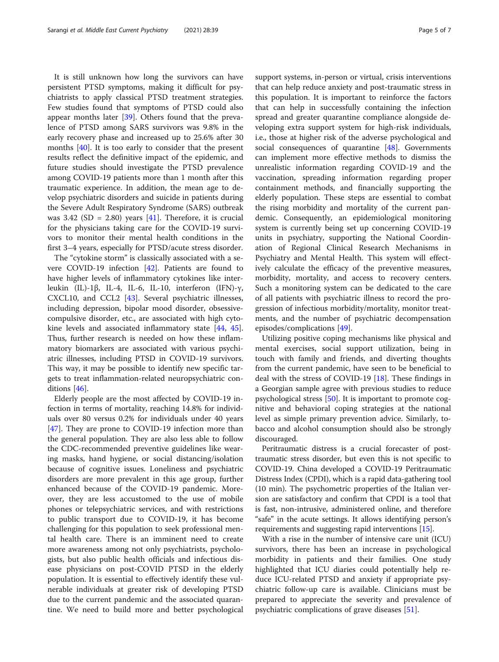It is still unknown how long the survivors can have persistent PTSD symptoms, making it difficult for psychiatrists to apply classical PTSD treatment strategies. Few studies found that symptoms of PTSD could also appear months later [\[39](#page-6-0)]. Others found that the prevalence of PTSD among SARS survivors was 9.8% in the early recovery phase and increased up to 25.6% after 30 months [[40](#page-6-0)]. It is too early to consider that the present results reflect the definitive impact of the epidemic, and future studies should investigate the PTSD prevalence among COVID-19 patients more than 1 month after this traumatic experience. In addition, the mean age to develop psychiatric disorders and suicide in patients during the Severe Adult Respiratory Syndrome (SARS) outbreak was 3.42 (SD = 2.80) years [[41](#page-6-0)]. Therefore, it is crucial for the physicians taking care for the COVID-19 survivors to monitor their mental health conditions in the first 3–4 years, especially for PTSD/acute stress disorder.

The "cytokine storm" is classically associated with a severe COVID-19 infection [\[42\]](#page-6-0). Patients are found to have higher levels of inflammatory cytokines like interleukin (IL)-1β, IL-4, IL-6, IL-10, interferon (IFN)-γ, CXCL10, and CCL2 [[43\]](#page-6-0). Several psychiatric illnesses, including depression, bipolar mood disorder, obsessivecompulsive disorder, etc., are associated with high cytokine levels and associated inflammatory state [[44](#page-6-0), [45](#page-6-0)]. Thus, further research is needed on how these inflammatory biomarkers are associated with various psychiatric illnesses, including PTSD in COVID-19 survivors. This way, it may be possible to identify new specific targets to treat inflammation-related neuropsychiatric conditions [[46](#page-6-0)].

Elderly people are the most affected by COVID-19 infection in terms of mortality, reaching 14.8% for individuals over 80 versus 0.2% for individuals under 40 years [[47\]](#page-6-0). They are prone to COVID-19 infection more than the general population. They are also less able to follow the CDC-recommended preventive guidelines like wearing masks, hand hygiene, or social distancing/isolation because of cognitive issues. Loneliness and psychiatric disorders are more prevalent in this age group, further enhanced because of the COVID-19 pandemic. Moreover, they are less accustomed to the use of mobile phones or telepsychiatric services, and with restrictions to public transport due to COVID-19, it has become challenging for this population to seek professional mental health care. There is an imminent need to create more awareness among not only psychiatrists, psychologists, but also public health officials and infectious disease physicians on post-COVID PTSD in the elderly population. It is essential to effectively identify these vulnerable individuals at greater risk of developing PTSD due to the current pandemic and the associated quarantine. We need to build more and better psychological support systems, in-person or virtual, crisis interventions that can help reduce anxiety and post-traumatic stress in this population. It is important to reinforce the factors that can help in successfully containing the infection spread and greater quarantine compliance alongside developing extra support system for high-risk individuals, i.e., those at higher risk of the adverse psychological and social consequences of quarantine [\[48](#page-6-0)]. Governments can implement more effective methods to dismiss the unrealistic information regarding COVID-19 and the vaccination, spreading information regarding proper containment methods, and financially supporting the elderly population. These steps are essential to combat the rising morbidity and mortality of the current pandemic. Consequently, an epidemiological monitoring system is currently being set up concerning COVID-19 units in psychiatry, supporting the National Coordination of Regional Clinical Research Mechanisms in Psychiatry and Mental Health. This system will effectively calculate the efficacy of the preventive measures, morbidity, mortality, and access to recovery centers. Such a monitoring system can be dedicated to the care of all patients with psychiatric illness to record the progression of infectious morbidity/mortality, monitor treatments, and the number of psychiatric decompensation episodes/complications [[49\]](#page-6-0).

Utilizing positive coping mechanisms like physical and mental exercises, social support utilization, being in touch with family and friends, and diverting thoughts from the current pandemic, have seen to be beneficial to deal with the stress of COVID-19 [\[18](#page-6-0)]. These findings in a Georgian sample agree with previous studies to reduce psychological stress [[50\]](#page-6-0). It is important to promote cognitive and behavioral coping strategies at the national level as simple primary prevention advice. Similarly, tobacco and alcohol consumption should also be strongly discouraged.

Peritraumatic distress is a crucial forecaster of posttraumatic stress disorder, but even this is not specific to COVID-19. China developed a COVID-19 Peritraumatic Distress Index (CPDI), which is a rapid data-gathering tool (10 min). The psychometric properties of the Italian version are satisfactory and confirm that CPDI is a tool that is fast, non-intrusive, administered online, and therefore "safe" in the acute settings. It allows identifying person's requirements and suggesting rapid interventions [[15](#page-5-0)].

With a rise in the number of intensive care unit (ICU) survivors, there has been an increase in psychological morbidity in patients and their families. One study highlighted that ICU diaries could potentially help reduce ICU-related PTSD and anxiety if appropriate psychiatric follow-up care is available. Clinicians must be prepared to appreciate the severity and prevalence of psychiatric complications of grave diseases [\[51](#page-6-0)].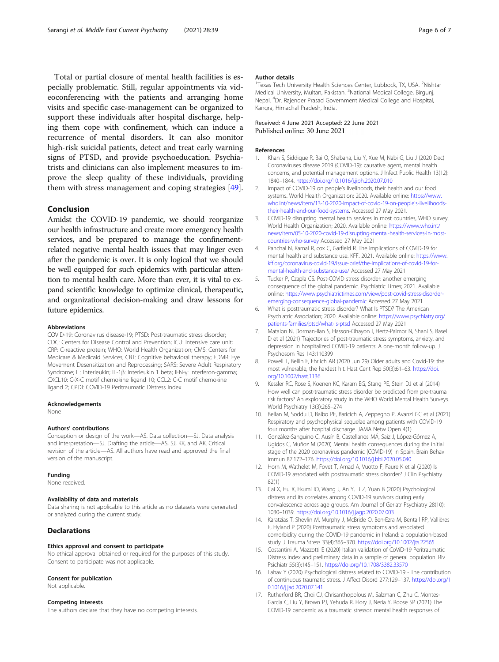<span id="page-5-0"></span>Total or partial closure of mental health facilities is especially problematic. Still, regular appointments via videoconferencing with the patients and arranging home visits and specific case-management can be organized to support these individuals after hospital discharge, helping them cope with confinement, which can induce a recurrence of mental disorders. It can also monitor high-risk suicidal patients, detect and treat early warning signs of PTSD, and provide psychoeducation. Psychiatrists and clinicians can also implement measures to improve the sleep quality of these individuals, providing them with stress management and coping strategies [\[49\]](#page-6-0).

## Conclusion

Amidst the COVID-19 pandemic, we should reorganize our health infrastructure and create more emergency health services, and be prepared to manage the confinementrelated negative mental health issues that may linger even after the pandemic is over. It is only logical that we should be well equipped for such epidemics with particular attention to mental health care. More than ever, it is vital to expand scientific knowledge to optimize clinical, therapeutic, and organizational decision-making and draw lessons for future epidemics.

#### Abbreviations

COVID-19: Coronavirus disease-19; PTSD: Post-traumatic stress disorder; CDC: Centers for Disease Control and Prevention; ICU: Intensive care unit; CRP: C-reactive protein; WHO: World Health Organization; CMS: Centers for Medicare & Medicaid Services; CBT: Cognitive behavioral therapy; EDMR: Eye Movement Desensitization and Reprocessing; SARS: Severe Adult Respiratory Syndrome; IL: Interleukin; IL-1β: Interleukin 1 beta; IFN-γ: Interferon-gamma; CXCL10: C-X-C motif chemokine ligand 10; CCL2: C-C motif chemokine ligand 2; CPDI: COVID-19 Peritraumatic Distress Index

#### Acknowledgements

None

#### Authors' contributions

Conception or design of the work—AS. Data collection—SJ. Data analysis and interpretation—SJ. Drafting the article—AS, SJ, KK, and AK. Critical revision of the article—AS. All authors have read and approved the final version of the manuscript.

#### Funding

None received.

## Availability of data and materials

Data sharing is not applicable to this article as no datasets were generated or analyzed during the current study.

#### **Declarations**

#### Ethics approval and consent to participate

No ethical approval obtained or required for the purposes of this study. Consent to participate was not applicable.

#### Consent for publication

Not applicable.

#### Competing interests

The authors declare that they have no competing interests.

#### Author details

<sup>1</sup> Texas Tech University Health Sciences Center, Lubbock, TX, USA. <sup>2</sup> Nishtar Medical University, Multan, Pakistan. <sup>3</sup>National Medical College, Birgunj Nepal. <sup>4</sup>Dr. Rajender Prasad Government Medical College and Hospital Kangra, Himachal Pradesh, India.

### Received: 4 June 2021 Accepted: 22 June 2021 Published online: 30 June 2021

#### References

- Khan S, Siddique R, Bai Q, Shabana, Liu Y, Xue M, Nabi G, Liu J (2020 Dec) Coronaviruses disease 2019 (COVID-19): causative agent, mental health concerns, and potential management options. J Infect Public Health 13(12): 1840–1844. <https://doi.org/10.1016/j.jiph.2020.07.010>
- 2. Impact of COVID-19 on people's livelihoods, their health and our food systems. World Health Organization; 2020. Available online: https://www. who.int/news/item/13-10-2020-impact-of-covid-19-on-people's-livelihoodstheir-health-and-our-food-systems. Accessed 27 May 2021.
- 3. COVID-19 disrupting mental health services in most countries, WHO survey. World Health Organization; 2020. Available online: [https://www.who.int/](https://www.who.int/news/item/05-10-2020-covid-19-disrupting-mental-health-services-in-most-countries-who-survey) [news/item/05-10-2020-covid-19-disrupting-mental-health-services-in-most](https://www.who.int/news/item/05-10-2020-covid-19-disrupting-mental-health-services-in-most-countries-who-survey)[countries-who-survey](https://www.who.int/news/item/05-10-2020-covid-19-disrupting-mental-health-services-in-most-countries-who-survey) Accessed 27 May 2021
- 4. Panchal N, Kamal R, cox C, Garfield R. The implications of COVID-19 for mental health and substance use. KFF. 2021. Available online: [https://www.](https://www.kff.org/coronavirus-covid-19/issue-brief/the-implications-of-covid-19-for-mental-health-and-substance-use/) [kff.org/coronavirus-covid-19/issue-brief/the-implications-of-covid-19-for](https://www.kff.org/coronavirus-covid-19/issue-brief/the-implications-of-covid-19-for-mental-health-and-substance-use/)[mental-health-and-substance-use/](https://www.kff.org/coronavirus-covid-19/issue-brief/the-implications-of-covid-19-for-mental-health-and-substance-use/) Accessed 27 May 2021
- 5. Tucker P, Czapla CS. Post-COVID stress disorder: another emerging consequence of the global pandemic. Psychiatric Times; 2021. Available online: [https://www.psychiatrictimes.com/view/post-covid-stress-disorder](https://www.psychiatrictimes.com/view/post-covid-stress-disorder-emerging-consequence-global-pandemic)[emerging-consequence-global-pandemic](https://www.psychiatrictimes.com/view/post-covid-stress-disorder-emerging-consequence-global-pandemic) Accessed 27 May 2021
- 6. What is posttraumatic stress disorder? What Is PTSD? The American Psychiatric Association; 2020. Available online: [https://www.psychiatry.org/](https://www.psychiatry.org/patients-families/ptsd/what-is-ptsd) [patients-families/ptsd/what-is-ptsd](https://www.psychiatry.org/patients-families/ptsd/what-is-ptsd) Accessed 27 May 2021
- 7. Matalon N, Dorman-Ilan S, Hasson-Ohayon I, Hertz-Palmor N, Shani S, Basel D et al (2021) Trajectories of post-traumatic stress symptoms, anxiety, and depression in hospitalized COVID-19 patients: A one-month follow-up. J Psychosom Res 143:110399
- 8. Powell T, Bellin E, Ehrlich AR (2020 Jun 29) Older adults and Covid-19: the most vulnerable, the hardest hit. Hast Cent Rep 50(3):61–63. [https://doi.](https://doi.org/10.1002/hast.1136) [org/10.1002/hast.1136](https://doi.org/10.1002/hast.1136)
- 9. Kessler RC, Rose S, Koenen KC, Karam EG, Stang PE, Stein DJ et al (2014) How well can post-traumatic stress disorder be predicted from pre-trauma risk factors? An exploratory study in the WHO World Mental Health Surveys. World Psychiatry 13(3):265–274
- 10. Bellan M, Soddu D, Balbo PE, Baricich A, Zeppegno P, Avanzi GC et al (2021) Respiratory and psychophysical sequelae among patients with COVID-19 four months after hospital discharge. JAMA Netw Open 4(1)
- 11. González-Sanguino C, Ausín B, Castellanos MÁ, Saiz J, López-Gómez A, Ugidos C, Muñoz M (2020) Mental health consequences during the initial stage of the 2020 coronavirus pandemic (COVID-19) in Spain. Brain Behav Immun 87:172–176. <https://doi.org/10.1016/j.bbi.2020.05.040>
- 12. Horn M, Wathelet M, Fovet T, Amad A, Vuotto F, Faure K et al (2020) Is COVID-19 associated with posttraumatic stress disorder? J Clin Psychiatry 82(1)
- 13. Cai X, Hu X, Ekumi IO, Wang J, An Y, Li Z, Yuan B (2020) Psychological distress and its correlates among COVID-19 survivors during early convalescence across age groups. Am Journal of Geriatr Psychiatry 28(10): 1030–1039. <https://doi.org/10.1016/j.jagp.2020.07.003>
- 14. Karatzias T, Shevlin M, Murphy J, McBride O, Ben-Ezra M, Bentall RP, Vallières F, Hyland P (2020) Posttraumatic stress symptoms and associated comorbidity during the COVID-19 pandemic in Ireland: a population-based study. J Trauma Stress 33(4):365–370. <https://doi.org/10.1002/jts.22565>
- 15. Costantini A, Mazzotti E (2020) Italian validation of CoViD-19 Peritraumatic Distress Index and preliminary data in a sample of general population. Riv Psichiatr 55(3):145–151. <https://doi.org/10.1708/3382.33570>
- 16. Lahav Y (2020) Psychological distress related to COVID-19 The contribution of continuous traumatic stress. J Affect Disord 277:129–137. [https://doi.org/1](https://doi.org/10.1016/j.jad.2020.07.141) [0.1016/j.jad.2020.07.141](https://doi.org/10.1016/j.jad.2020.07.141)
- 17. Rutherford BR, Choi CJ, Chrisanthopolous M, Salzman C, Zhu C, Montes-Garcia C, Liu Y, Brown PJ, Yehuda R, Flory J, Neria Y, Roose SP (2021) The COVID-19 pandemic as a traumatic stressor: mental health responses of